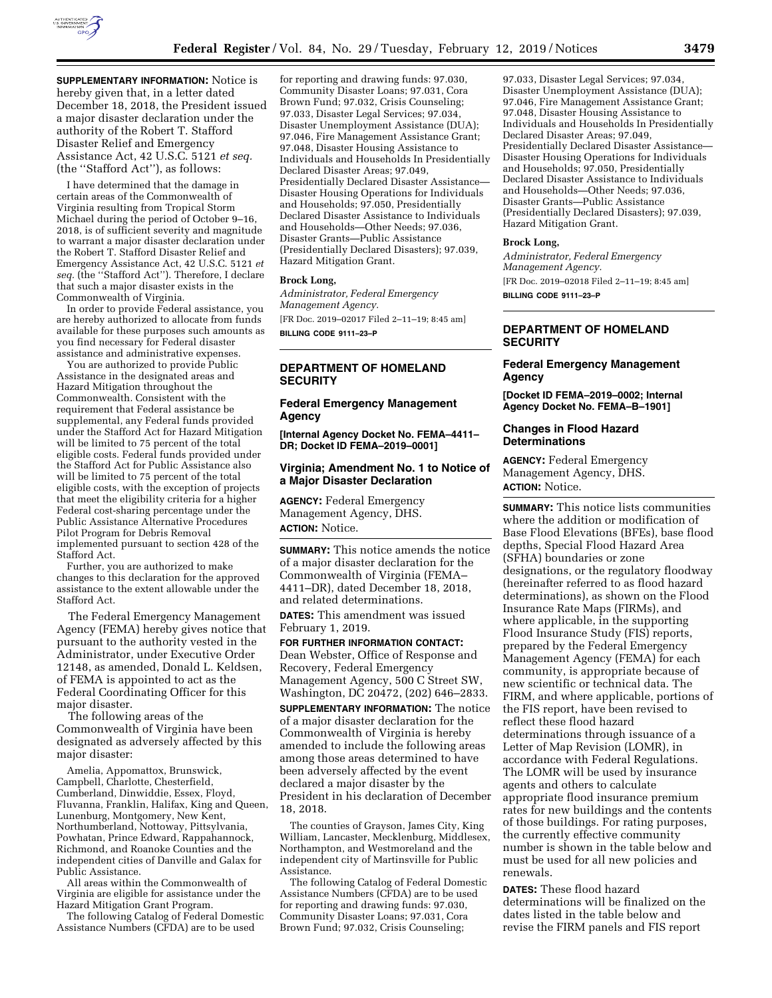

**SUPPLEMENTARY INFORMATION:** Notice is hereby given that, in a letter dated December 18, 2018, the President issued a major disaster declaration under the authority of the Robert T. Stafford Disaster Relief and Emergency Assistance Act, 42 U.S.C. 5121 *et seq.*  (the ''Stafford Act''), as follows:

I have determined that the damage in certain areas of the Commonwealth of Virginia resulting from Tropical Storm Michael during the period of October 9–16, 2018, is of sufficient severity and magnitude to warrant a major disaster declaration under the Robert T. Stafford Disaster Relief and Emergency Assistance Act, 42 U.S.C. 5121 *et seq.* (the ''Stafford Act''). Therefore, I declare that such a major disaster exists in the Commonwealth of Virginia.

In order to provide Federal assistance, you are hereby authorized to allocate from funds available for these purposes such amounts as you find necessary for Federal disaster assistance and administrative expenses.

You are authorized to provide Public Assistance in the designated areas and Hazard Mitigation throughout the Commonwealth. Consistent with the requirement that Federal assistance be supplemental, any Federal funds provided under the Stafford Act for Hazard Mitigation will be limited to 75 percent of the total eligible costs. Federal funds provided under the Stafford Act for Public Assistance also will be limited to 75 percent of the total eligible costs, with the exception of projects that meet the eligibility criteria for a higher Federal cost-sharing percentage under the Public Assistance Alternative Procedures Pilot Program for Debris Removal implemented pursuant to section 428 of the Stafford Act.

Further, you are authorized to make changes to this declaration for the approved assistance to the extent allowable under the Stafford Act.

The Federal Emergency Management Agency (FEMA) hereby gives notice that pursuant to the authority vested in the Administrator, under Executive Order 12148, as amended, Donald L. Keldsen, of FEMA is appointed to act as the Federal Coordinating Officer for this major disaster.

The following areas of the Commonwealth of Virginia have been designated as adversely affected by this major disaster:

Amelia, Appomattox, Brunswick, Campbell, Charlotte, Chesterfield, Cumberland, Dinwiddie, Essex, Floyd, Fluvanna, Franklin, Halifax, King and Queen, Lunenburg, Montgomery, New Kent, Northumberland, Nottoway, Pittsylvania, Powhatan, Prince Edward, Rappahannock, Richmond, and Roanoke Counties and the independent cities of Danville and Galax for Public Assistance.

All areas within the Commonwealth of Virginia are eligible for assistance under the Hazard Mitigation Grant Program.

The following Catalog of Federal Domestic Assistance Numbers (CFDA) are to be used

for reporting and drawing funds: 97.030, Community Disaster Loans; 97.031, Cora Brown Fund; 97.032, Crisis Counseling; 97.033, Disaster Legal Services; 97.034, Disaster Unemployment Assistance (DUA); 97.046, Fire Management Assistance Grant; 97.048, Disaster Housing Assistance to Individuals and Households In Presidentially Declared Disaster Areas; 97.049, Presidentially Declared Disaster Assistance— Disaster Housing Operations for Individuals and Households; 97.050, Presidentially Declared Disaster Assistance to Individuals and Households—Other Needs; 97.036, Disaster Grants—Public Assistance (Presidentially Declared Disasters); 97.039, Hazard Mitigation Grant.

## **Brock Long,**

*Administrator, Federal Emergency Management Agency.*  [FR Doc. 2019–02017 Filed 2–11–19; 8:45 am] **BILLING CODE 9111–23–P** 

# **DEPARTMENT OF HOMELAND SECURITY**

### **Federal Emergency Management Agency**

**[Internal Agency Docket No. FEMA–4411– DR; Docket ID FEMA–2019–0001]** 

## **Virginia; Amendment No. 1 to Notice of a Major Disaster Declaration**

**AGENCY:** Federal Emergency Management Agency, DHS. **ACTION:** Notice.

**SUMMARY:** This notice amends the notice of a major disaster declaration for the Commonwealth of Virginia (FEMA– 4411–DR), dated December 18, 2018, and related determinations.

**DATES:** This amendment was issued February 1, 2019.

**FOR FURTHER INFORMATION CONTACT:**  Dean Webster, Office of Response and Recovery, Federal Emergency Management Agency, 500 C Street SW, Washington, DC 20472, (202) 646–2833.

**SUPPLEMENTARY INFORMATION:** The notice of a major disaster declaration for the Commonwealth of Virginia is hereby amended to include the following areas among those areas determined to have been adversely affected by the event declared a major disaster by the President in his declaration of December 18, 2018.

The counties of Grayson, James City, King William, Lancaster, Mecklenburg, Middlesex, Northampton, and Westmoreland and the independent city of Martinsville for Public Assistance.

The following Catalog of Federal Domestic Assistance Numbers (CFDA) are to be used for reporting and drawing funds: 97.030, Community Disaster Loans; 97.031, Cora Brown Fund; 97.032, Crisis Counseling;

97.033, Disaster Legal Services; 97.034, Disaster Unemployment Assistance (DUA); 97.046, Fire Management Assistance Grant; 97.048, Disaster Housing Assistance to Individuals and Households In Presidentially Declared Disaster Areas; 97.049, Presidentially Declared Disaster Assistance— Disaster Housing Operations for Individuals and Households; 97.050, Presidentially Declared Disaster Assistance to Individuals and Households—Other Needs; 97.036, Disaster Grants—Public Assistance (Presidentially Declared Disasters); 97.039, Hazard Mitigation Grant.

## **Brock Long,**

*Administrator, Federal Emergency Management Agency.*  [FR Doc. 2019–02018 Filed 2–11–19; 8:45 am] **BILLING CODE 9111–23–P** 

# **DEPARTMENT OF HOMELAND SECURITY**

# **Federal Emergency Management Agency**

**[Docket ID FEMA–2019–0002; Internal Agency Docket No. FEMA–B–1901]** 

# **Changes in Flood Hazard Determinations**

**AGENCY:** Federal Emergency Management Agency, DHS. **ACTION:** Notice.

**SUMMARY:** This notice lists communities where the addition or modification of Base Flood Elevations (BFEs), base flood depths, Special Flood Hazard Area (SFHA) boundaries or zone designations, or the regulatory floodway (hereinafter referred to as flood hazard determinations), as shown on the Flood Insurance Rate Maps (FIRMs), and where applicable, in the supporting Flood Insurance Study (FIS) reports, prepared by the Federal Emergency Management Agency (FEMA) for each community, is appropriate because of new scientific or technical data. The FIRM, and where applicable, portions of the FIS report, have been revised to reflect these flood hazard determinations through issuance of a Letter of Map Revision (LOMR), in accordance with Federal Regulations. The LOMR will be used by insurance agents and others to calculate appropriate flood insurance premium rates for new buildings and the contents of those buildings. For rating purposes, the currently effective community number is shown in the table below and must be used for all new policies and renewals.

**DATES:** These flood hazard determinations will be finalized on the dates listed in the table below and revise the FIRM panels and FIS report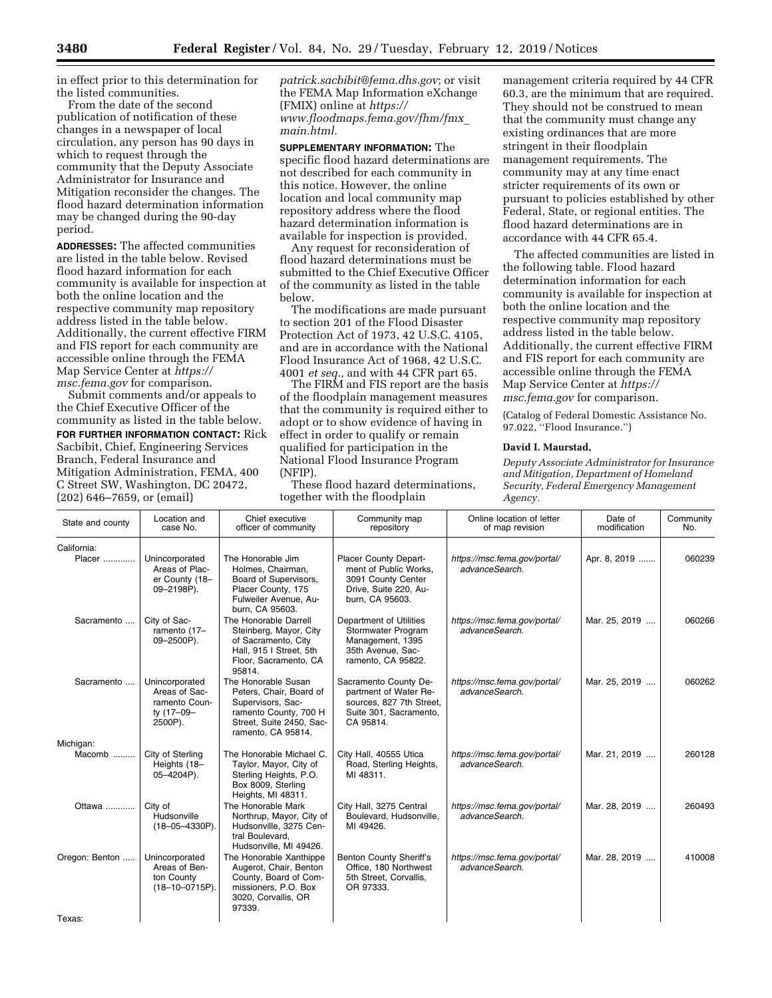in effect prior to this determination for the listed communities.

From the date of the second publication of notification of these changes in a newspaper of local circulation, any person has 90 days in which to request through the community that the Deputy Associate Administrator for Insurance and Mitigation reconsider the changes. The flood hazard determination information may be changed during the 90-day period.

**ADDRESSES:** The affected communities are listed in the table below. Revised flood hazard information for each community is available for inspection at both the online location and the respective community map repository address listed in the table below. Additionally, the current effective FIRM and FIS report for each community are accessible online through the FEMA Map Service Center at *[https://](https://msc.fema.gov) [msc.fema.gov](https://msc.fema.gov)* for comparison.

Submit comments and/or appeals to the Chief Executive Officer of the community as listed in the table below. **FOR FURTHER INFORMATION CONTACT:** Rick Sacbibit, Chief, Engineering Services Branch, Federal Insurance and Mitigation Administration, FEMA, 400 C Street SW, Washington, DC 20472, (202) 646–7659, or (email)

*[patrick.sacbibit@fema.dhs.gov](mailto:patrick.sacbibit@fema.dhs.gov)*; or visit the FEMA Map Information eXchange (FMIX) online at *[https://](https://www.floodmaps.fema.gov/fhm/fmx_main.html) [www.floodmaps.fema.gov/fhm/fmx](https://www.floodmaps.fema.gov/fhm/fmx_main.html)*\_ *[main.html.](https://www.floodmaps.fema.gov/fhm/fmx_main.html)* 

**SUPPLEMENTARY INFORMATION:** The specific flood hazard determinations are not described for each community in this notice. However, the online location and local community map repository address where the flood hazard determination information is available for inspection is provided.

Any request for reconsideration of flood hazard determinations must be submitted to the Chief Executive Officer of the community as listed in the table below.

The modifications are made pursuant to section 201 of the Flood Disaster Protection Act of 1973, 42 U.S.C. 4105, and are in accordance with the National Flood Insurance Act of 1968, 42 U.S.C. 4001 *et seq.,* and with 44 CFR part 65.

The FIRM and FIS report are the basis of the floodplain management measures that the community is required either to adopt or to show evidence of having in effect in order to qualify or remain qualified for participation in the National Flood Insurance Program (NFIP).

These flood hazard determinations, together with the floodplain

management criteria required by 44 CFR 60.3, are the minimum that are required. They should not be construed to mean that the community must change any existing ordinances that are more stringent in their floodplain management requirements. The community may at any time enact stricter requirements of its own or pursuant to policies established by other Federal, State, or regional entities. The flood hazard determinations are in accordance with 44 CFR 65.4.

The affected communities are listed in the following table. Flood hazard determination information for each community is available for inspection at both the online location and the respective community map repository address listed in the table below. Additionally, the current effective FIRM and FIS report for each community are accessible online through the FEMA Map Service Center at *[https://](https://msc.fema.gov) [msc.fema.gov](https://msc.fema.gov)* for comparison.

(Catalog of Federal Domestic Assistance No. 97.022, ''Flood Insurance.'')

#### **David I. Maurstad,**

*Deputy Associate Administrator for Insurance and Mitigation, Department of Homeland Security, Federal Emergency Management Agency.* 

| State and county         | Location and<br>case No.                                                  | Chief executive<br>officer of community                                                                                                        | Community map<br>repository                                                                                       | Online location of letter<br>of map revision   | Date of<br>modification | Community<br>No. |
|--------------------------|---------------------------------------------------------------------------|------------------------------------------------------------------------------------------------------------------------------------------------|-------------------------------------------------------------------------------------------------------------------|------------------------------------------------|-------------------------|------------------|
| California:              |                                                                           |                                                                                                                                                |                                                                                                                   |                                                |                         |                  |
| Placer                   | Unincorporated<br>Areas of Plac-<br>er County (18-<br>09-2198P).          | The Honorable Jim<br>Holmes, Chairman,<br>Board of Supervisors,<br>Placer County, 175<br>Fulweiler Avenue, Au-<br>burn, CA 95603.              | Placer County Depart-<br>ment of Public Works,<br>3091 County Center<br>Drive, Suite 220, Au-<br>burn, CA 95603.  | https://msc.fema.gov/portal/<br>advanceSearch. | Apr. 8, 2019            | 060239           |
| Sacramento               | City of Sac-<br>ramento (17-<br>09-2500P).                                | The Honorable Darrell<br>Steinberg, Mayor, City<br>of Sacramento, City<br>Hall, 915   Street, 5th<br>Floor, Sacramento, CA<br>95814.           | Department of Utilities<br>Stormwater Program<br>Management, 1395<br>35th Avenue, Sac-<br>ramento, CA 95822.      | https://msc.fema.gov/portal/<br>advanceSearch. | Mar. 25, 2019           | 060266           |
| Sacramento               | Unincorporated<br>Areas of Sac-<br>ramento Coun-<br>ty (17-09-<br>2500P). | The Honorable Susan<br>Peters, Chair, Board of<br>Supervisors, Sac-<br>ramento County, 700 H<br>Street, Suite 2450, Sac-<br>ramento, CA 95814. | Sacramento County De-<br>partment of Water Re-<br>sources, 827 7th Street,<br>Suite 301, Sacramento,<br>CA 95814. | https://msc.fema.gov/portal/<br>advanceSearch. | Mar. 25, 2019           | 060262           |
| Michigan:                |                                                                           |                                                                                                                                                |                                                                                                                   |                                                |                         |                  |
| Macomb                   | City of Sterling<br>Heights (18-<br>05-4204P).                            | The Honorable Michael C.<br>Taylor, Mayor, City of<br>Sterling Heights, P.O.<br>Box 8009, Sterling<br>Heights, MI 48311.                       | City Hall, 40555 Utica<br>Road, Sterling Heights,<br>MI 48311.                                                    | https://msc.fema.gov/portal/<br>advanceSearch. | Mar. 21, 2019           | 260128           |
| Ottawa                   | City of<br>Hudsonville<br>$(18 - 05 - 4330P)$ .                           | The Honorable Mark<br>Northrup, Mayor, City of<br>Hudsonville, 3275 Cen-<br>tral Boulevard.<br>Hudsonville, MI 49426.                          | City Hall, 3275 Central<br>Boulevard, Hudsonville,<br>MI 49426.                                                   | https://msc.fema.gov/portal/<br>advanceSearch. | Mar. 28, 2019           | 260493           |
| Oregon: Benton<br>Texas: | Unincorporated<br>Areas of Ben-<br>ton County<br>$(18 - 10 - 0715P)$ .    | The Honorable Xanthippe<br>Augerot, Chair, Benton<br>County, Board of Com-<br>missioners, P.O. Box<br>3020, Corvallis, OR<br>97339.            | <b>Benton County Sheriff's</b><br>Office, 180 Northwest<br>5th Street, Corvallis,<br>OR 97333.                    | https://msc.fema.gov/portal/<br>advanceSearch. | Mar. 28, 2019           | 410008           |
|                          |                                                                           |                                                                                                                                                |                                                                                                                   |                                                |                         |                  |